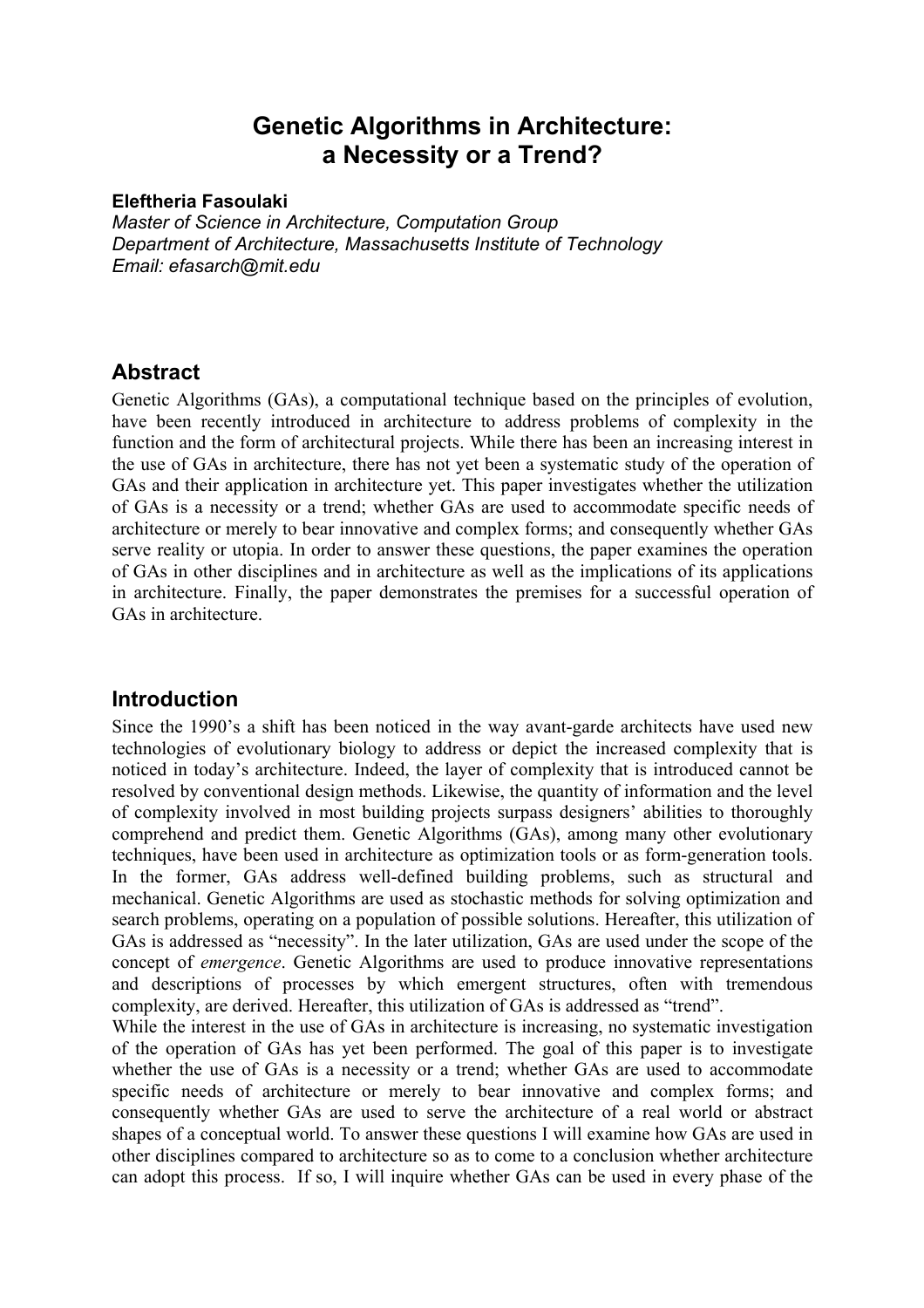# **Genetic Algorithms in Architecture: a Necessity or a Trend?**

### **Eleftheria Fasoulaki**

*Master of Science in Architecture, Computation Group Department of Architecture, Massachusetts Institute of Technology Email: efasarch@mit.edu* 

# **Abstract**

Genetic Algorithms (GAs), a computational technique based on the principles of evolution, have been recently introduced in architecture to address problems of complexity in the function and the form of architectural projects. While there has been an increasing interest in the use of GAs in architecture, there has not yet been a systematic study of the operation of GAs and their application in architecture yet. This paper investigates whether the utilization of GAs is a necessity or a trend; whether GAs are used to accommodate specific needs of architecture or merely to bear innovative and complex forms; and consequently whether GAs serve reality or utopia. In order to answer these questions, the paper examines the operation of GAs in other disciplines and in architecture as well as the implications of its applications in architecture. Finally, the paper demonstrates the premises for a successful operation of GAs in architecture.

# **Introduction**

Since the 1990's a shift has been noticed in the way avant-garde architects have used new technologies of evolutionary biology to address or depict the increased complexity that is noticed in today's architecture. Indeed, the layer of complexity that is introduced cannot be resolved by conventional design methods. Likewise, the quantity of information and the level of complexity involved in most building projects surpass designers' abilities to thoroughly comprehend and predict them. Genetic Algorithms (GAs), among many other evolutionary techniques, have been used in architecture as optimization tools or as form-generation tools. In the former, GAs address well-defined building problems, such as structural and mechanical. Genetic Algorithms are used as stochastic methods for solving optimization and search problems, operating on a population of possible solutions. Hereafter, this utilization of GAs is addressed as "necessity". In the later utilization, GAs are used under the scope of the concept of *emergence*. Genetic Algorithms are used to produce innovative representations and descriptions of processes by which emergent structures, often with tremendous complexity, are derived. Hereafter, this utilization of GAs is addressed as "trend".

While the interest in the use of GAs in architecture is increasing, no systematic investigation of the operation of GAs has yet been performed. The goal of this paper is to investigate whether the use of GAs is a necessity or a trend; whether GAs are used to accommodate specific needs of architecture or merely to bear innovative and complex forms; and consequently whether GAs are used to serve the architecture of a real world or abstract shapes of a conceptual world. To answer these questions I will examine how GAs are used in other disciplines compared to architecture so as to come to a conclusion whether architecture can adopt this process. If so, I will inquire whether GAs can be used in every phase of the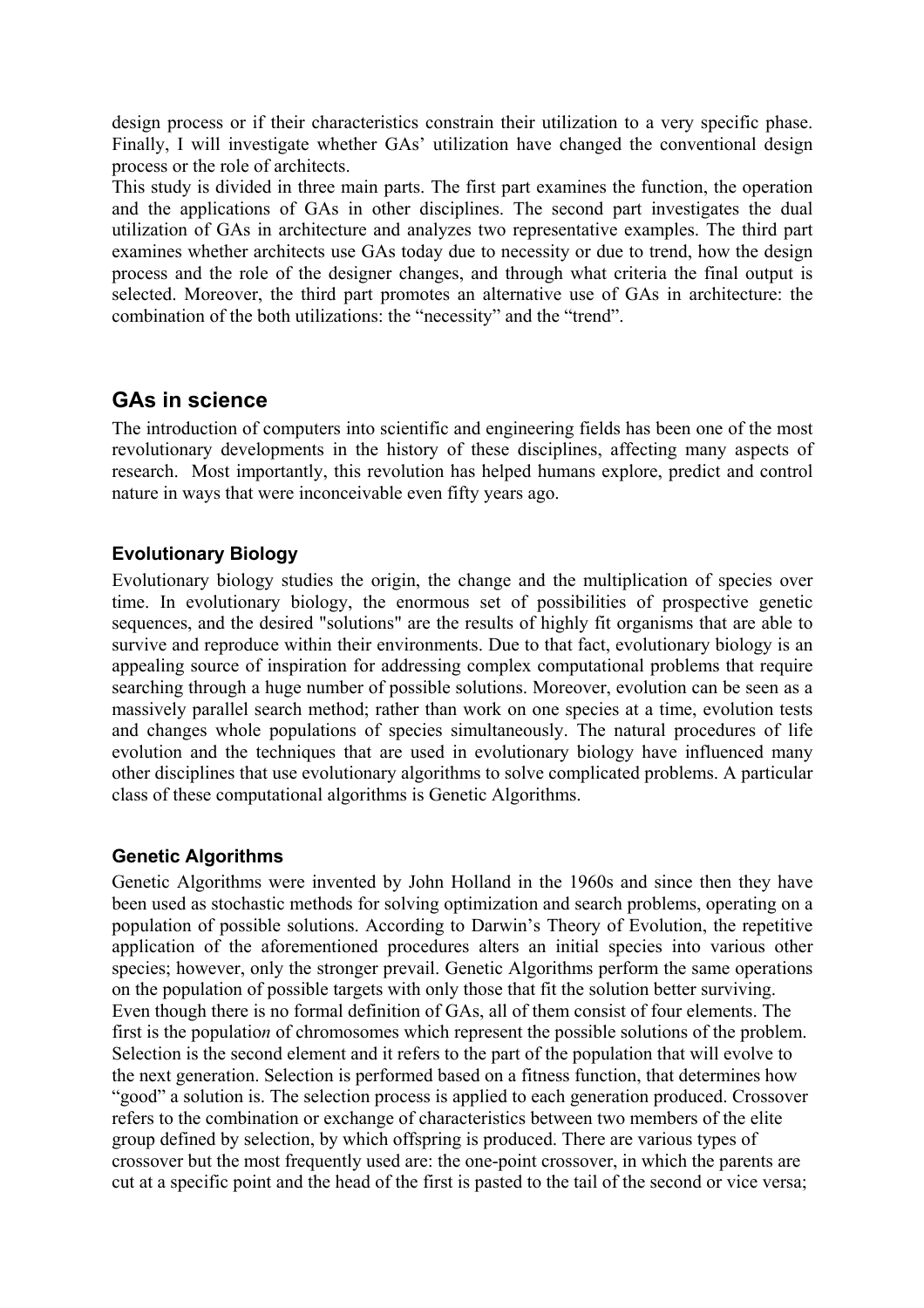design process or if their characteristics constrain their utilization to a very specific phase. Finally, I will investigate whether GAs' utilization have changed the conventional design process or the role of architects.

This study is divided in three main parts. The first part examines the function, the operation and the applications of GAs in other disciplines. The second part investigates the dual utilization of GAs in architecture and analyzes two representative examples. The third part examines whether architects use GAs today due to necessity or due to trend, how the design process and the role of the designer changes, and through what criteria the final output is selected. Moreover, the third part promotes an alternative use of GAs in architecture: the combination of the both utilizations: the "necessity" and the "trend".

# **GAs in science**

The introduction of computers into scientific and engineering fields has been one of the most revolutionary developments in the history of these disciplines, affecting many aspects of research. Most importantly, this revolution has helped humans explore, predict and control nature in ways that were inconceivable even fifty years ago.

## **Evolutionary Biology**

Evolutionary biology studies the origin, the change and the multiplication of species over time. In evolutionary biology, the enormous set of possibilities of prospective genetic sequences, and the desired "solutions" are the results of highly fit organisms that are able to survive and reproduce within their environments. Due to that fact, evolutionary biology is an appealing source of inspiration for addressing complex computational problems that require searching through a huge number of possible solutions. Moreover, evolution can be seen as a massively parallel search method; rather than work on one species at a time, evolution tests and changes whole populations of species simultaneously. The natural procedures of life evolution and the techniques that are used in evolutionary biology have influenced many other disciplines that use evolutionary algorithms to solve complicated problems. A particular class of these computational algorithms is Genetic Algorithms.

## **Genetic Algorithms**

Genetic Algorithms were invented by John Holland in the 1960s and since then they have been used as stochastic methods for solving optimization and search problems, operating on a population of possible solutions. According to Darwin's Theory of Evolution, the repetitive application of the aforementioned procedures alters an initial species into various other species; however, only the stronger prevail. Genetic Algorithms perform the same operations on the population of possible targets with only those that fit the solution better surviving. Even though there is no formal definition of GAs, all of them consist of four elements. The first is the populatio*n* of chromosomes which represent the possible solutions of the problem. Selection is the second element and it refers to the part of the population that will evolve to the next generation. Selection is performed based on a fitness function, that determines how "good" a solution is. The selection process is applied to each generation produced. Crossover refers to the combination or exchange of characteristics between two members of the elite group defined by selection, by which offspring is produced. There are various types of crossover but the most frequently used are: the one-point crossover, in which the parents are cut at a specific point and the head of the first is pasted to the tail of the second or vice versa;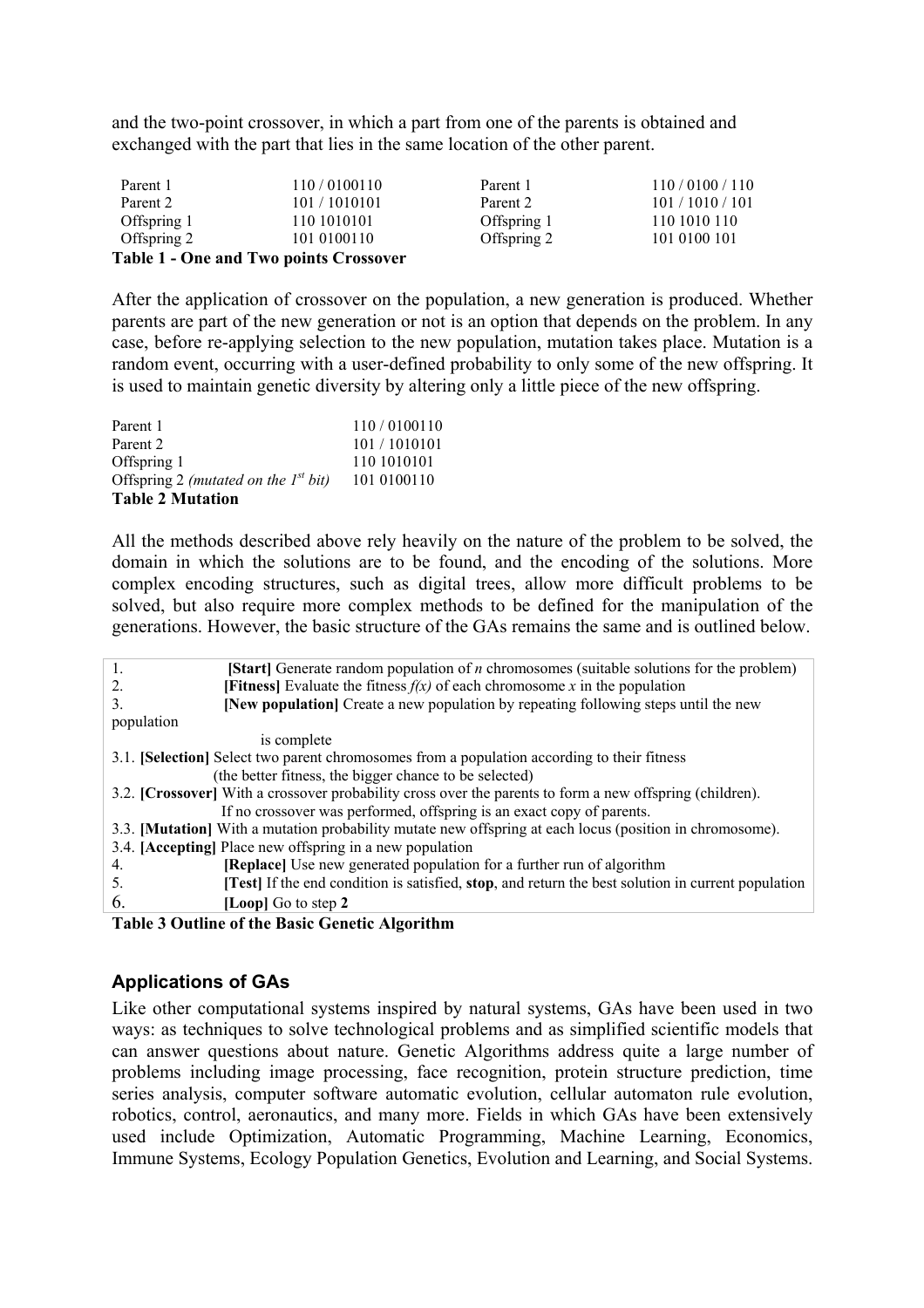and the two-point crossover, in which a part from one of the parents is obtained and exchanged with the part that lies in the same location of the other parent.

| Parent 1    | 110/0100110                                   | Parent 1    | 110/0100/110     |
|-------------|-----------------------------------------------|-------------|------------------|
| Parent 2    | 101/1010101                                   | Parent 2    | 101 / 1010 / 101 |
| Offspring 1 | 110 10 10 10 1                                | Offspring 1 | 110 1010 110     |
| Offspring 2 | 101 0100110                                   | Offspring 2 | 101 0100 101     |
|             | <b>Table 1 - One and Two points Crossover</b> |             |                  |

After the application of crossover on the population, a new generation is produced. Whether parents are part of the new generation or not is an option that depends on the problem. In any case, before re-applying selection to the new population, mutation takes place. Mutation is a random event, occurring with a user-defined probability to only some of the new offspring. It is used to maintain genetic diversity by altering only a little piece of the new offspring.

| Parent 1                                  | 110/0100110 |
|-------------------------------------------|-------------|
| Parent 2                                  | 101/1010101 |
| Offspring 1                               | 110 1010101 |
| Offspring 2 (mutated on the $I^{st}$ bit) | 101 0100110 |
| <b>Table 2 Mutation</b>                   |             |

All the methods described above rely heavily on the nature of the problem to be solved, the domain in which the solutions are to be found, and the encoding of the solutions. More complex encoding structures, such as digital trees, allow more difficult problems to be solved, but also require more complex methods to be defined for the manipulation of the generations. However, the basic structure of the GAs remains the same and is outlined below.

| <b>[Start]</b> Generate random population of <i>n</i> chromosomes (suitable solutions for the problem)<br>1. |  |  |
|--------------------------------------------------------------------------------------------------------------|--|--|
| <b>[Fitness]</b> Evaluate the fitness $f(x)$ of each chromosome x in the population<br>2.                    |  |  |
| [New population] Create a new population by repeating following steps until the new<br>3.                    |  |  |
| population                                                                                                   |  |  |
| is complete                                                                                                  |  |  |
| 3.1. <b>[Selection]</b> Select two parent chromosomes from a population according to their fitness           |  |  |
| (the better fitness, the bigger chance to be selected)                                                       |  |  |
| 3.2. [Crossover] With a crossover probability cross over the parents to form a new offspring (children).     |  |  |
| If no crossover was performed, offspring is an exact copy of parents.                                        |  |  |
| 3.3. [Mutation] With a mutation probability mutate new offspring at each locus (position in chromosome).     |  |  |
| 3.4. [Accepting] Place new offspring in a new population                                                     |  |  |
| <b>[Replace]</b> Use new generated population for a further run of algorithm<br>4.                           |  |  |
| [Test] If the end condition is satisfied, stop, and return the best solution in current population<br>5.     |  |  |
| 6.<br>[Loop] Go to step 2                                                                                    |  |  |
|                                                                                                              |  |  |

**Table 3 Outline of the Basic Genetic Algorithm** 

## **Applications of GAs**

Like other computational systems inspired by natural systems, GAs have been used in two ways: as techniques to solve technological problems and as simplified scientific models that can answer questions about nature. Genetic Algorithms address quite a large number of problems including image processing, face recognition, protein structure prediction, time series analysis, computer software automatic evolution, cellular automaton rule evolution, robotics, control, aeronautics, and many more. Fields in which GAs have been extensively used include Optimization, Automatic Programming, Machine Learning, Economics, Immune Systems, Ecology Population Genetics, Evolution and Learning, and Social Systems.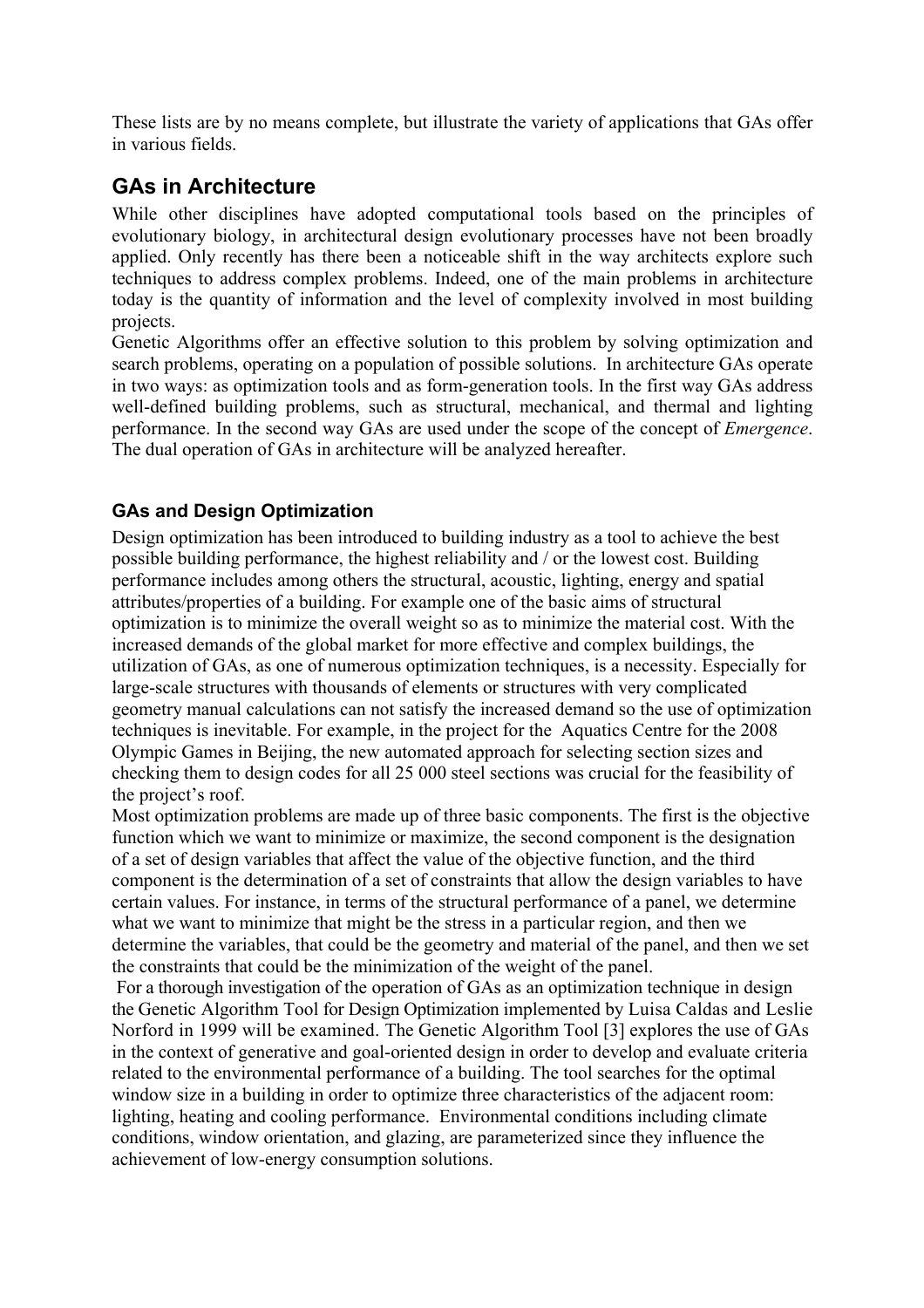These lists are by no means complete, but illustrate the variety of applications that GAs offer in various fields.

# **GAs in Architecture**

While other disciplines have adopted computational tools based on the principles of evolutionary biology, in architectural design evolutionary processes have not been broadly applied. Only recently has there been a noticeable shift in the way architects explore such techniques to address complex problems. Indeed, one of the main problems in architecture today is the quantity of information and the level of complexity involved in most building projects.

Genetic Algorithms offer an effective solution to this problem by solving optimization and search problems, operating on a population of possible solutions. In architecture GAs operate in two ways: as optimization tools and as form-generation tools. In the first way GAs address well-defined building problems, such as structural, mechanical, and thermal and lighting performance. In the second way GAs are used under the scope of the concept of *Emergence*. The dual operation of GAs in architecture will be analyzed hereafter.

# **GAs and Design Optimization**

Design optimization has been introduced to building industry as a tool to achieve the best possible building performance, the highest reliability and / or the lowest cost. Building performance includes among others the structural, acoustic, lighting, energy and spatial attributes/properties of a building. For example one of the basic aims of structural optimization is to minimize the overall weight so as to minimize the material cost. With the increased demands of the global market for more effective and complex buildings, the utilization of GAs, as one of numerous optimization techniques, is a necessity. Especially for large-scale structures with thousands of elements or structures with very complicated geometry manual calculations can not satisfy the increased demand so the use of optimization techniques is inevitable. For example, in the project for the Aquatics Centre for the 2008 Olympic Games in Beijing, the new automated approach for selecting section sizes and checking them to design codes for all 25 000 steel sections was crucial for the feasibility of the project's roof.

Most optimization problems are made up of three basic components. The first is the objective function which we want to minimize or maximize, the second component is the designation of a set of design variables that affect the value of the objective function, and the third component is the determination of a set of constraints that allow the design variables to have certain values. For instance, in terms of the structural performance of a panel, we determine what we want to minimize that might be the stress in a particular region, and then we determine the variables, that could be the geometry and material of the panel, and then we set the constraints that could be the minimization of the weight of the panel.

 For a thorough investigation of the operation of GAs as an optimization technique in design the Genetic Algorithm Tool for Design Optimization implemented by Luisa Caldas and Leslie Norford in 1999 will be examined. The Genetic Algorithm Tool [3] explores the use of GAs in the context of generative and goal-oriented design in order to develop and evaluate criteria related to the environmental performance of a building. The tool searches for the optimal window size in a building in order to optimize three characteristics of the adjacent room: lighting, heating and cooling performance. Environmental conditions including climate conditions, window orientation, and glazing, are parameterized since they influence the achievement of low-energy consumption solutions.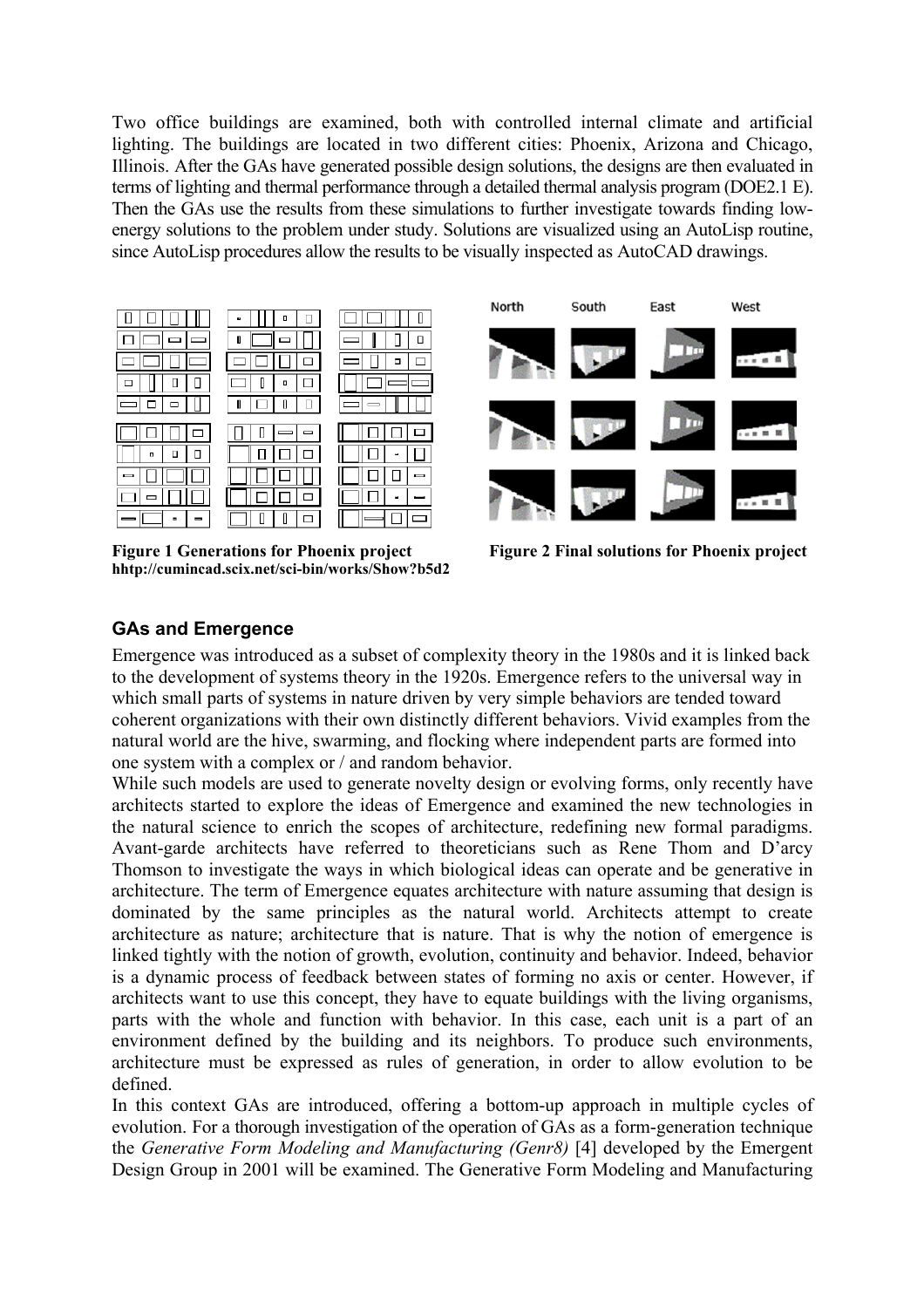Two office buildings are examined, both with controlled internal climate and artificial lighting. The buildings are located in two different cities: Phoenix, Arizona and Chicago, Illinois. After the GAs have generated possible design solutions, the designs are then evaluated in terms of lighting and thermal performance through a detailed thermal analysis program (DOE2.1 E). Then the GAs use the results from these simulations to further investigate towards finding lowenergy solutions to the problem under study. Solutions are visualized using an AutoLisp routine, since AutoLisp procedures allow the results to be visually inspected as AutoCAD drawings.



**hhtp://cumincad.scix.net/sci-bin/works/Show?b5d2** 

Figure 1 Generations for Phoenix project Figure 2 Final solutions for Phoenix project

# **GAs and Emergence**

Emergence was introduced as a subset of complexity theory in the 1980s and it is linked back to the development of systems theory in the 1920s. Emergence refers to the universal way in which small parts of systems in nature driven by very simple behaviors are tended toward coherent organizations with their own distinctly different behaviors. Vivid examples from the natural world are the hive, swarming, and flocking where independent parts are formed into one system with a complex or / and random behavior.

While such models are used to generate novelty design or evolving forms, only recently have architects started to explore the ideas of Emergence and examined the new technologies in the natural science to enrich the scopes of architecture, redefining new formal paradigms. Avant-garde architects have referred to theoreticians such as Rene Thom and D'arcy Thomson to investigate the ways in which biological ideas can operate and be generative in architecture. The term of Emergence equates architecture with nature assuming that design is dominated by the same principles as the natural world. Architects attempt to create architecture as nature; architecture that is nature. That is why the notion of emergence is linked tightly with the notion of growth, evolution, continuity and behavior. Indeed, behavior is a dynamic process of feedback between states of forming no axis or center. However, if architects want to use this concept, they have to equate buildings with the living organisms, parts with the whole and function with behavior. In this case, each unit is a part of an environment defined by the building and its neighbors. To produce such environments, architecture must be expressed as rules of generation, in order to allow evolution to be defined.

In this context GAs are introduced, offering a bottom-up approach in multiple cycles of evolution. For a thorough investigation of the operation of GAs as a form-generation technique the *Generative Form Modeling and Manufacturing (Genr8)* [4] developed by the Emergent Design Group in 2001 will be examined. The Generative Form Modeling and Manufacturing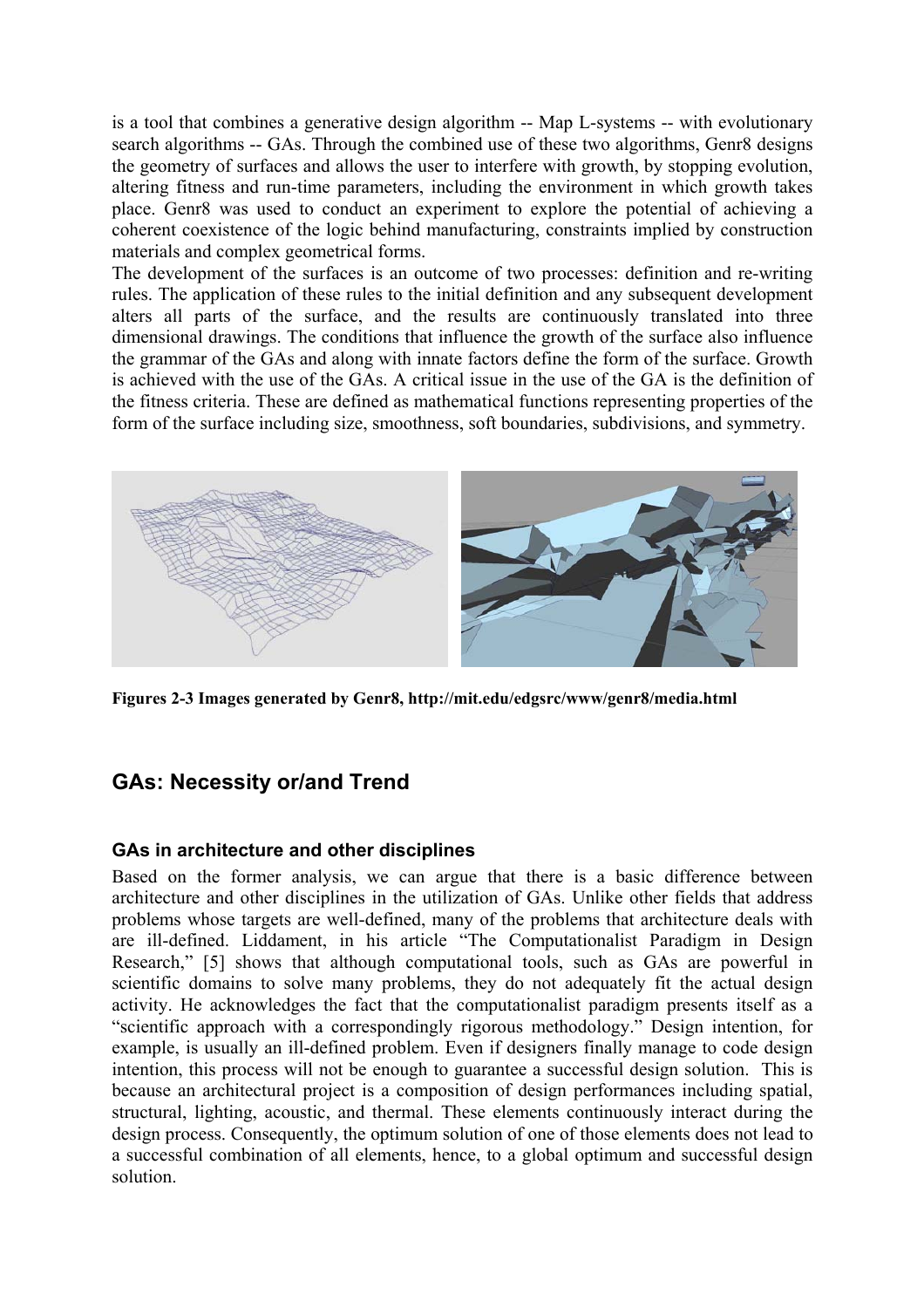is a tool that combines a generative design algorithm -- Map L-systems -- with evolutionary search algorithms -- GAs. Through the combined use of these two algorithms, Genr8 designs the geometry of surfaces and allows the user to interfere with growth, by stopping evolution, altering fitness and run-time parameters, including the environment in which growth takes place. Genr8 was used to conduct an experiment to explore the potential of achieving a coherent coexistence of the logic behind manufacturing, constraints implied by construction materials and complex geometrical forms.

The development of the surfaces is an outcome of two processes: definition and re-writing rules. The application of these rules to the initial definition and any subsequent development alters all parts of the surface, and the results are continuously translated into three dimensional drawings. The conditions that influence the growth of the surface also influence the grammar of the GAs and along with innate factors define the form of the surface. Growth is achieved with the use of the GAs. A critical issue in the use of the GA is the definition of the fitness criteria. These are defined as mathematical functions representing properties of the form of the surface including size, smoothness, soft boundaries, subdivisions, and symmetry.



**Figures 2-3 Images generated by Genr8, http://mit.edu/edgsrc/www/genr8/media.html** 

# **GAs: Necessity or/and Trend**

## **GAs in architecture and other disciplines**

Based on the former analysis, we can argue that there is a basic difference between architecture and other disciplines in the utilization of GAs. Unlike other fields that address problems whose targets are well-defined, many of the problems that architecture deals with are ill-defined. Liddament, in his article "The Computationalist Paradigm in Design Research," [5] shows that although computational tools, such as GAs are powerful in scientific domains to solve many problems, they do not adequately fit the actual design activity. He acknowledges the fact that the computationalist paradigm presents itself as a "scientific approach with a correspondingly rigorous methodology." Design intention, for example, is usually an ill-defined problem. Even if designers finally manage to code design intention, this process will not be enough to guarantee a successful design solution. This is because an architectural project is a composition of design performances including spatial, structural, lighting, acoustic, and thermal. These elements continuously interact during the design process. Consequently, the optimum solution of one of those elements does not lead to a successful combination of all elements, hence, to a global optimum and successful design solution.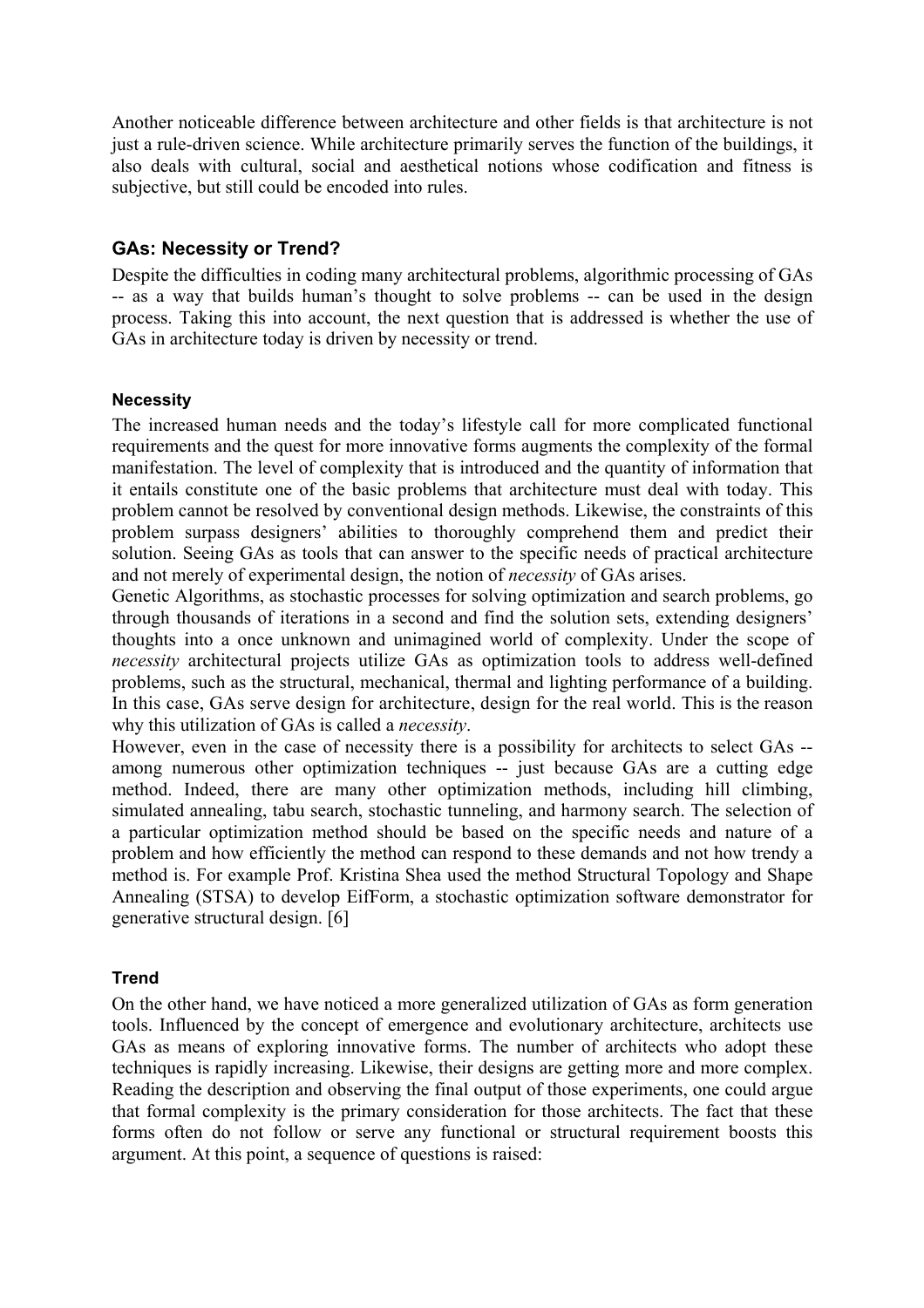Another noticeable difference between architecture and other fields is that architecture is not just a rule-driven science. While architecture primarily serves the function of the buildings, it also deals with cultural, social and aesthetical notions whose codification and fitness is subjective, but still could be encoded into rules.

#### **GAs: Necessity or Trend?**

Despite the difficulties in coding many architectural problems, algorithmic processing of GAs -- as a way that builds human's thought to solve problems -- can be used in the design process. Taking this into account, the next question that is addressed is whether the use of GAs in architecture today is driven by necessity or trend.

#### **Necessity**

The increased human needs and the today's lifestyle call for more complicated functional requirements and the quest for more innovative forms augments the complexity of the formal manifestation. The level of complexity that is introduced and the quantity of information that it entails constitute one of the basic problems that architecture must deal with today. This problem cannot be resolved by conventional design methods. Likewise, the constraints of this problem surpass designers' abilities to thoroughly comprehend them and predict their solution. Seeing GAs as tools that can answer to the specific needs of practical architecture and not merely of experimental design, the notion of *necessity* of GAs arises.

Genetic Algorithms, as stochastic processes for solving optimization and search problems, go through thousands of iterations in a second and find the solution sets, extending designers' thoughts into a once unknown and unimagined world of complexity. Under the scope of *necessity* architectural projects utilize GAs as optimization tools to address well-defined problems, such as the structural, mechanical, thermal and lighting performance of a building. In this case, GAs serve design for architecture, design for the real world. This is the reason why this utilization of GAs is called a *necessity*.

However, even in the case of necessity there is a possibility for architects to select GAs - among numerous other optimization techniques -- just because GAs are a cutting edge method. Indeed, there are many other optimization methods, including hill climbing, simulated annealing, tabu search, stochastic tunneling, and harmony search. The selection of a particular optimization method should be based on the specific needs and nature of a problem and how efficiently the method can respond to these demands and not how trendy a method is. For example Prof. Kristina Shea used the method Structural Topology and Shape Annealing (STSA) to develop EifForm, a stochastic optimization software demonstrator for generative structural design. [6]

## **Trend**

On the other hand, we have noticed a more generalized utilization of GAs as form generation tools. Influenced by the concept of emergence and evolutionary architecture, architects use GAs as means of exploring innovative forms. The number of architects who adopt these techniques is rapidly increasing. Likewise, their designs are getting more and more complex. Reading the description and observing the final output of those experiments, one could argue that formal complexity is the primary consideration for those architects. The fact that these forms often do not follow or serve any functional or structural requirement boosts this argument. At this point, a sequence of questions is raised: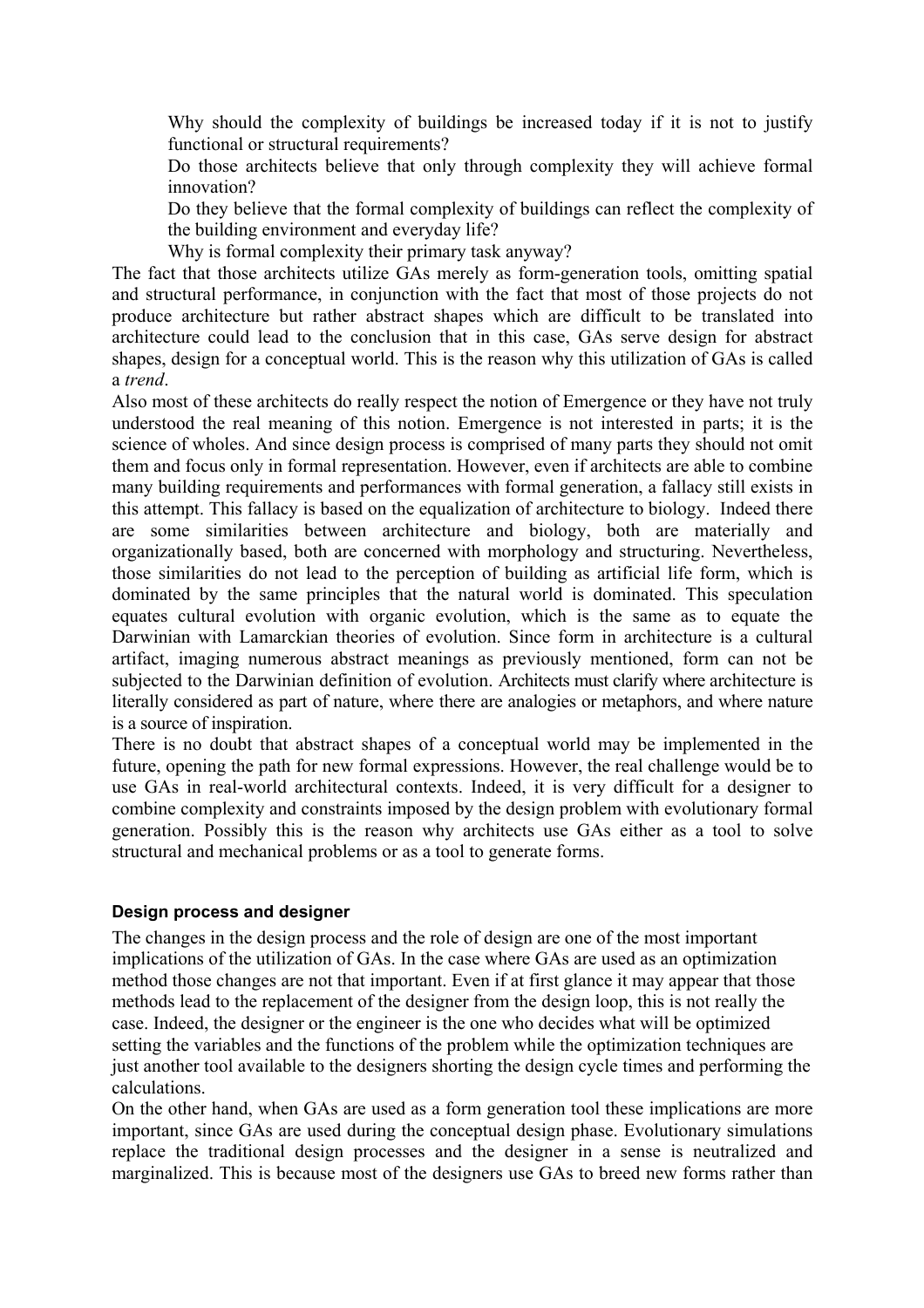Why should the complexity of buildings be increased today if it is not to justify functional or structural requirements?

Do those architects believe that only through complexity they will achieve formal innovation?

Do they believe that the formal complexity of buildings can reflect the complexity of the building environment and everyday life?

Why is formal complexity their primary task anyway?

The fact that those architects utilize GAs merely as form-generation tools, omitting spatial and structural performance, in conjunction with the fact that most of those projects do not produce architecture but rather abstract shapes which are difficult to be translated into architecture could lead to the conclusion that in this case, GAs serve design for abstract shapes, design for a conceptual world. This is the reason why this utilization of GAs is called a *trend*.

Also most of these architects do really respect the notion of Emergence or they have not truly understood the real meaning of this notion. Emergence is not interested in parts; it is the science of wholes. And since design process is comprised of many parts they should not omit them and focus only in formal representation. However, even if architects are able to combine many building requirements and performances with formal generation, a fallacy still exists in this attempt. This fallacy is based on the equalization of architecture to biology. Indeed there are some similarities between architecture and biology, both are materially and organizationally based, both are concerned with morphology and structuring. Nevertheless, those similarities do not lead to the perception of building as artificial life form, which is dominated by the same principles that the natural world is dominated. This speculation equates cultural evolution with organic evolution, which is the same as to equate the Darwinian with Lamarckian theories of evolution. Since form in architecture is a cultural artifact, imaging numerous abstract meanings as previously mentioned, form can not be subjected to the Darwinian definition of evolution. Architects must clarify where architecture is literally considered as part of nature, where there are analogies or metaphors, and where nature is a source of inspiration.

There is no doubt that abstract shapes of a conceptual world may be implemented in the future, opening the path for new formal expressions. However, the real challenge would be to use GAs in real-world architectural contexts. Indeed, it is very difficult for a designer to combine complexity and constraints imposed by the design problem with evolutionary formal generation. Possibly this is the reason why architects use GAs either as a tool to solve structural and mechanical problems or as a tool to generate forms.

#### **Design process and designer**

The changes in the design process and the role of design are one of the most important implications of the utilization of GAs. In the case where GAs are used as an optimization method those changes are not that important. Even if at first glance it may appear that those methods lead to the replacement of the designer from the design loop, this is not really the case. Indeed, the designer or the engineer is the one who decides what will be optimized setting the variables and the functions of the problem while the optimization techniques are just another tool available to the designers shorting the design cycle times and performing the calculations.

On the other hand, when GAs are used as a form generation tool these implications are more important, since GAs are used during the conceptual design phase. Evolutionary simulations replace the traditional design processes and the designer in a sense is neutralized and marginalized. This is because most of the designers use GAs to breed new forms rather than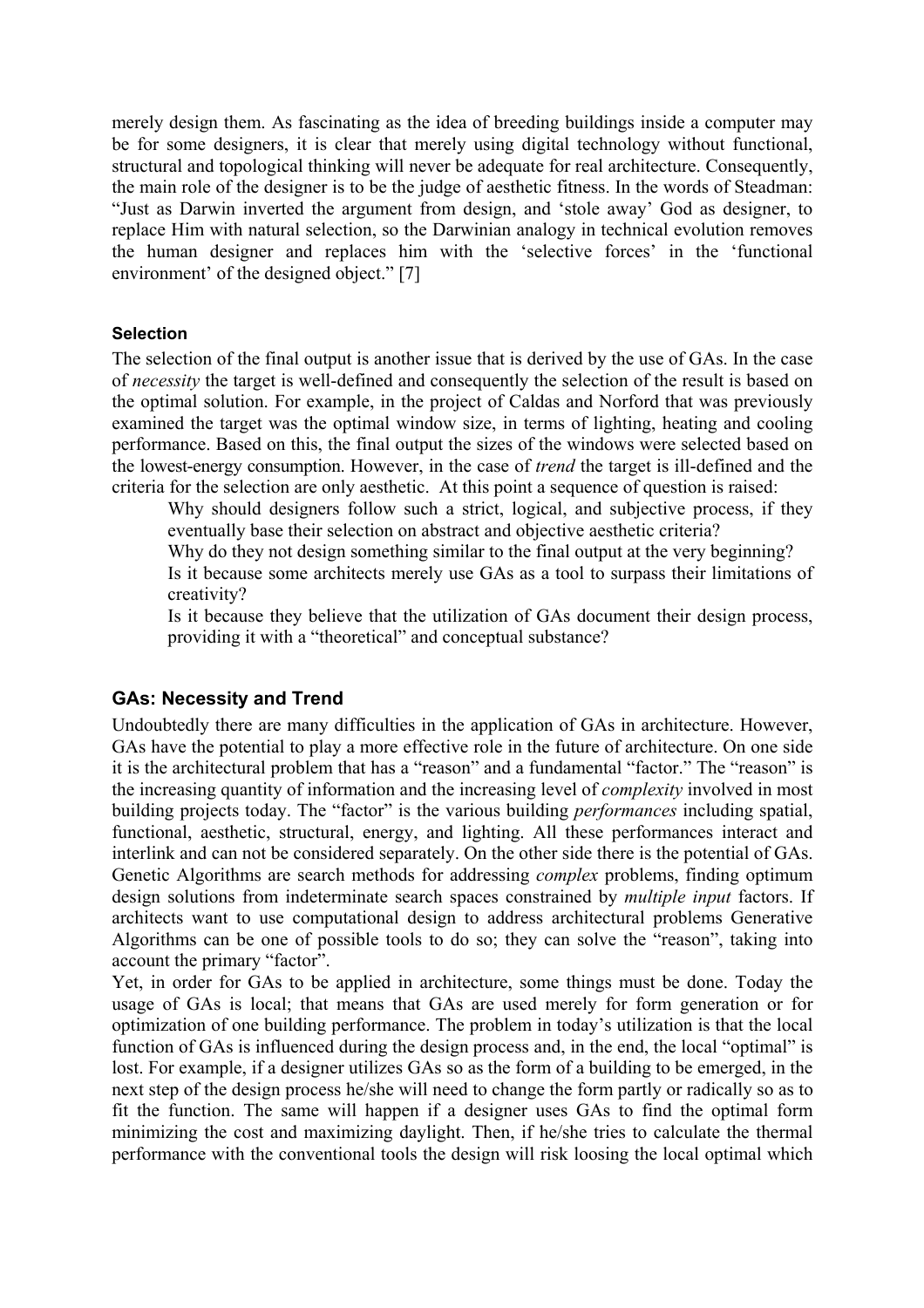merely design them. As fascinating as the idea of breeding buildings inside a computer may be for some designers, it is clear that merely using digital technology without functional, structural and topological thinking will never be adequate for real architecture. Consequently, the main role of the designer is to be the judge of aesthetic fitness. In the words of Steadman: "Just as Darwin inverted the argument from design, and 'stole away' God as designer, to replace Him with natural selection, so the Darwinian analogy in technical evolution removes the human designer and replaces him with the 'selective forces' in the 'functional environment' of the designed object." [7]

### **Selection**

The selection of the final output is another issue that is derived by the use of GAs. In the case of *necessity* the target is well-defined and consequently the selection of the result is based on the optimal solution. For example, in the project of Caldas and Norford that was previously examined the target was the optimal window size, in terms of lighting, heating and cooling performance. Based on this, the final output the sizes of the windows were selected based on the lowest-energy consumption. However, in the case of *trend* the target is ill-defined and the criteria for the selection are only aesthetic. At this point a sequence of question is raised:

Why should designers follow such a strict, logical, and subjective process, if they eventually base their selection on abstract and objective aesthetic criteria?

Why do they not design something similar to the final output at the very beginning? Is it because some architects merely use GAs as a tool to surpass their limitations of creativity?

Is it because they believe that the utilization of GAs document their design process, providing it with a "theoretical" and conceptual substance?

## **GAs: Necessity and Trend**

Undoubtedly there are many difficulties in the application of GAs in architecture. However, GAs have the potential to play a more effective role in the future of architecture. On one side it is the architectural problem that has a "reason" and a fundamental "factor." The "reason" is the increasing quantity of information and the increasing level of *complexity* involved in most building projects today. The "factor" is the various building *performances* including spatial, functional, aesthetic, structural, energy, and lighting. All these performances interact and interlink and can not be considered separately. On the other side there is the potential of GAs. Genetic Algorithms are search methods for addressing *complex* problems, finding optimum design solutions from indeterminate search spaces constrained by *multiple input* factors. If architects want to use computational design to address architectural problems Generative Algorithms can be one of possible tools to do so; they can solve the "reason", taking into account the primary "factor".

Yet, in order for GAs to be applied in architecture, some things must be done. Today the usage of GAs is local; that means that GAs are used merely for form generation or for optimization of one building performance. The problem in today's utilization is that the local function of GAs is influenced during the design process and, in the end, the local "optimal" is lost. For example, if a designer utilizes GAs so as the form of a building to be emerged, in the next step of the design process he/she will need to change the form partly or radically so as to fit the function. The same will happen if a designer uses GAs to find the optimal form minimizing the cost and maximizing daylight. Then, if he/she tries to calculate the thermal performance with the conventional tools the design will risk loosing the local optimal which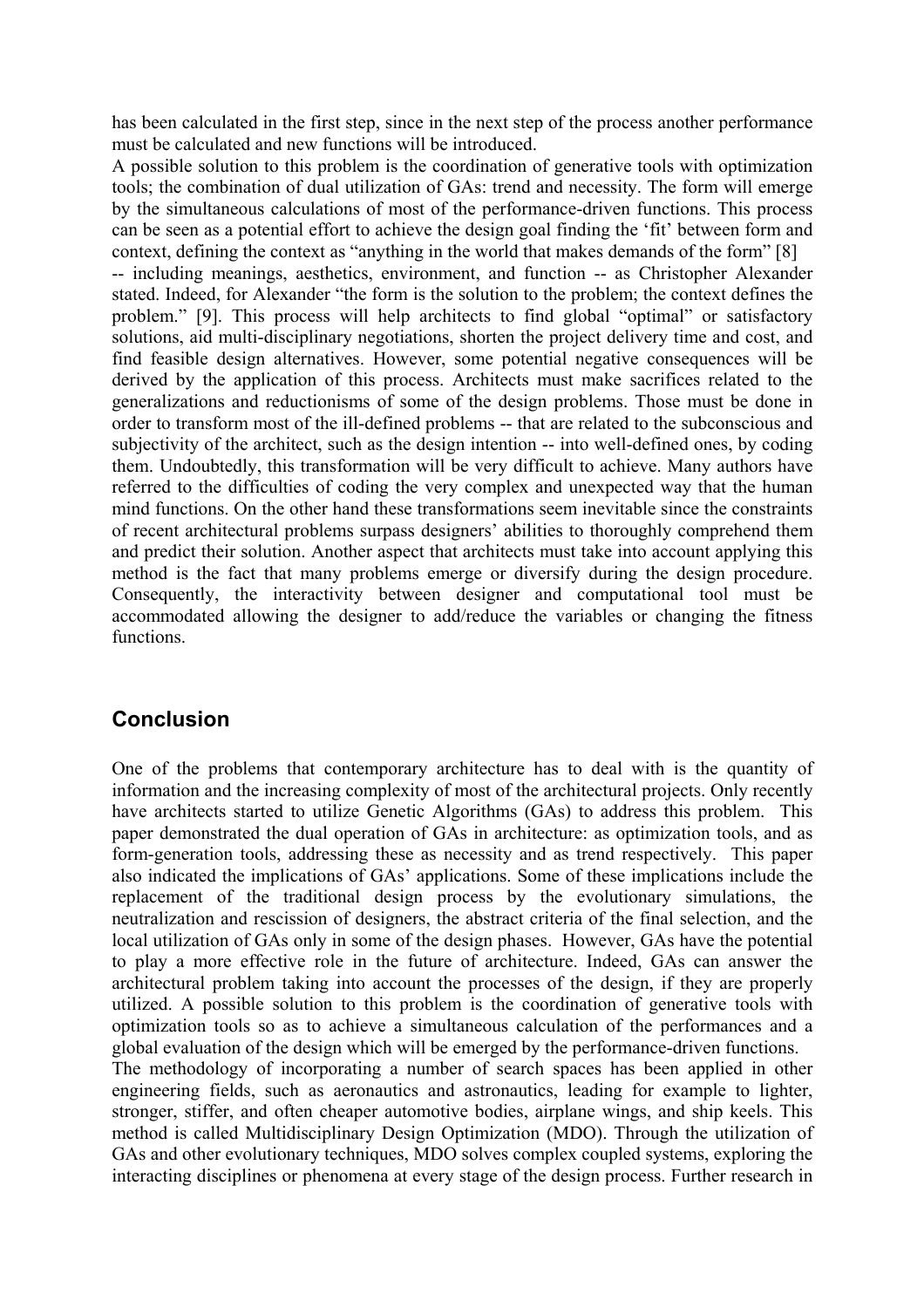has been calculated in the first step, since in the next step of the process another performance must be calculated and new functions will be introduced.

A possible solution to this problem is the coordination of generative tools with optimization tools; the combination of dual utilization of GAs: trend and necessity. The form will emerge by the simultaneous calculations of most of the performance-driven functions. This process can be seen as a potential effort to achieve the design goal finding the 'fit' between form and context, defining the context as "anything in the world that makes demands of the form" [8] -- including meanings, aesthetics, environment, and function -- as Christopher Alexander stated. Indeed, for Alexander "the form is the solution to the problem; the context defines the problem." [9]. This process will help architects to find global "optimal" or satisfactory solutions, aid multi-disciplinary negotiations, shorten the project delivery time and cost, and find feasible design alternatives. However, some potential negative consequences will be derived by the application of this process. Architects must make sacrifices related to the generalizations and reductionisms of some of the design problems. Those must be done in order to transform most of the ill-defined problems -- that are related to the subconscious and subjectivity of the architect, such as the design intention -- into well-defined ones, by coding them. Undoubtedly, this transformation will be very difficult to achieve. Many authors have referred to the difficulties of coding the very complex and unexpected way that the human mind functions. On the other hand these transformations seem inevitable since the constraints of recent architectural problems surpass designers' abilities to thoroughly comprehend them and predict their solution. Another aspect that architects must take into account applying this method is the fact that many problems emerge or diversify during the design procedure. Consequently, the interactivity between designer and computational tool must be accommodated allowing the designer to add/reduce the variables or changing the fitness functions.

# **Conclusion**

One of the problems that contemporary architecture has to deal with is the quantity of information and the increasing complexity of most of the architectural projects. Only recently have architects started to utilize Genetic Algorithms (GAs) to address this problem. This paper demonstrated the dual operation of GAs in architecture: as optimization tools, and as form-generation tools, addressing these as necessity and as trend respectively. This paper also indicated the implications of GAs' applications. Some of these implications include the replacement of the traditional design process by the evolutionary simulations, the neutralization and rescission of designers, the abstract criteria of the final selection, and the local utilization of GAs only in some of the design phases. However, GAs have the potential to play a more effective role in the future of architecture. Indeed, GAs can answer the architectural problem taking into account the processes of the design, if they are properly utilized. A possible solution to this problem is the coordination of generative tools with optimization tools so as to achieve a simultaneous calculation of the performances and a global evaluation of the design which will be emerged by the performance-driven functions. The methodology of incorporating a number of search spaces has been applied in other engineering fields, such as aeronautics and astronautics, leading for example to lighter, stronger, stiffer, and often cheaper automotive bodies, airplane wings, and ship keels. This method is called Multidisciplinary Design Optimization (MDO). Through the utilization of GAs and other evolutionary techniques, MDO solves complex coupled systems, exploring the interacting disciplines or phenomena at every stage of the design process. Further research in